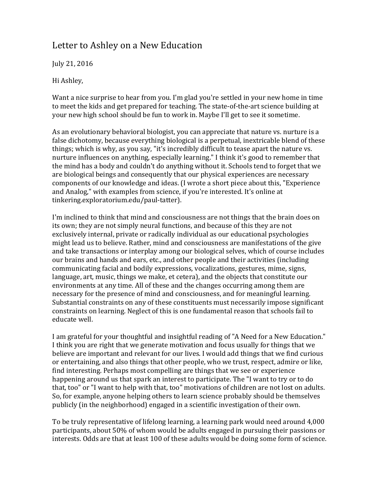## Letter to Ashley on a New Education

July 21, 2016

Hi Ashley,

Want a nice surprise to hear from you. I'm glad you're settled in your new home in time to meet the kids and get prepared for teaching. The state-of-the-art science building at your new high school should be fun to work in. Maybe I'll get to see it sometime.

As an evolutionary behavioral biologist, you can appreciate that nature vs. nurture is a false dichotomy, because everything biological is a perpetual, inextricable blend of these things; which is why, as you say, "it's incredibly difficult to tease apart the nature vs. nurture influences on anything, especially learning." I think it's good to remember that the mind has a body and couldn't do anything without it. Schools tend to forget that we are biological beings and consequently that our physical experiences are necessary components of our knowledge and ideas. (I wrote a short piece about this, "Experience and Analog," with examples from science, if you're interested. It's online at tinkering.exploratorium.edu/paul-tatter).

I'm inclined to think that mind and consciousness are not things that the brain does on its own; they are not simply neural functions, and because of this they are not exclusively internal, private or radically individual as our educational psychologies might lead us to believe. Rather, mind and consciousness are manifestations of the give and take transactions or interplay among our biological selves, which of course includes our brains and hands and ears, etc., and other people and their activities (including communicating facial and bodily expressions, vocalizations, gestures, mime, signs, language, art, music, things we make, et cetera), and the objects that constitute our environments at any time. All of these and the changes occurring among them are necessary for the presence of mind and consciousness, and for meaningful learning. Substantial constraints on any of these constituents must necessarily impose significant constraints on learning. Neglect of this is one fundamental reason that schools fail to educate well.

I am grateful for your thoughtful and insightful reading of "A Need for a New Education." I think you are right that we generate motivation and focus usually for things that we believe are important and relevant for our lives. I would add things that we find curious or entertaining, and also things that other people, who we trust, respect, admire or like, find interesting. Perhaps most compelling are things that we see or experience happening around us that spark an interest to participate. The "I want to try or to do that, too" or "I want to help with that, too" motivations of children are not lost on adults. So, for example, anyone helping others to learn science probably should be themselves publicly (in the neighborhood) engaged in a scientific investigation of their own.

To be truly representative of lifelong learning, a learning park would need around 4,000 participants, about 50% of whom would be adults engaged in pursuing their passions or interests. Odds are that at least 100 of these adults would be doing some form of science.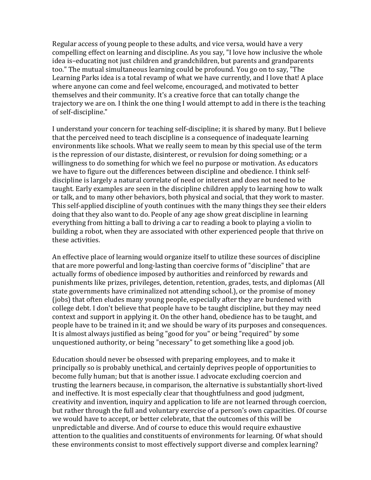Regular access of young people to these adults, and vice versa, would have a very compelling effect on learning and discipline. As you say, "I love how inclusive the whole idea is-educating not just children and grandchildren, but parents and grandparents too." The mutual simultaneous learning could be profound. You go on to say, "The Learning Parks idea is a total revamp of what we have currently, and I love that! A place where anyone can come and feel welcome, encouraged, and motivated to better themselves and their community. It's a creative force that can totally change the trajectory we are on. I think the one thing I would attempt to add in there is the teaching of self-discipline."

I understand your concern for teaching self-discipline; it is shared by many. But I believe that the perceived need to teach discipline is a consequence of inadequate learning environments like schools. What we really seem to mean by this special use of the term is the repression of our distaste, disinterest, or revulsion for doing something; or a willingness to do something for which we feel no purpose or motivation. As educators we have to figure out the differences between discipline and obedience. I think selfdiscipline is largely a natural correlate of need or interest and does not need to be taught. Early examples are seen in the discipline children apply to learning how to walk or talk, and to many other behaviors, both physical and social, that they work to master. This self-applied discipline of youth continues with the many things they see their elders doing that they also want to do. People of any age show great discipline in learning everything from hitting a ball to driving a car to reading a book to playing a violin to building a robot, when they are associated with other experienced people that thrive on these activities.

An effective place of learning would organize itself to utilize these sources of discipline that are more powerful and long-lasting than coercive forms of "discipline" that are actually forms of obedience imposed by authorities and reinforced by rewards and punishments like prizes, privileges, detention, retention, grades, tests, and diplomas (All state governments have criminalized not attending school.), or the promise of money (jobs) that often eludes many young people, especially after they are burdened with college debt. I don't believe that people have to be taught discipline, but they may need context and support in applying it. On the other hand, obedience has to be taught, and people have to be trained in it; and we should be wary of its purposes and consequences. It is almost always justified as being "good for you" or being "required" by some unquestioned authority, or being "necessary" to get something like a good job.

Education should never be obsessed with preparing employees, and to make it principally so is probably unethical, and certainly deprives people of opportunities to become fully human; but that is another issue. I advocate excluding coercion and trusting the learners because, in comparison, the alternative is substantially short-lived and ineffective. It is most especially clear that thoughtfulness and good judgment, creativity and invention, inquiry and application to life are not learned through coercion, but rather through the full and voluntary exercise of a person's own capacities. Of course we would have to accept, or better celebrate, that the outcomes of this will be unpredictable and diverse. And of course to educe this would require exhaustive attention to the qualities and constituents of environments for learning. Of what should these environments consist to most effectively support diverse and complex learning?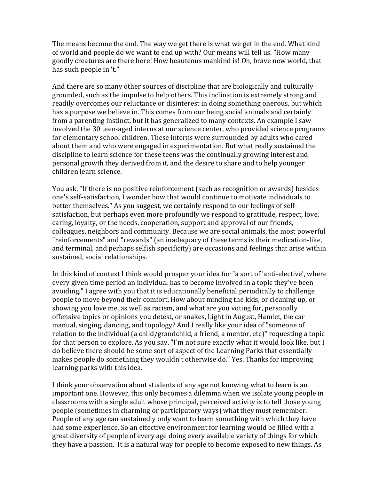The means become the end. The way we get there is what we get in the end. What kind of world and people do we want to end up with? Our means will tell us. "How many goodly creatures are there here! How beauteous mankind is! Oh, brave new world, that has such people in 't."

And there are so many other sources of discipline that are biologically and culturally grounded, such as the impulse to help others. This inclination is extremely strong and readily overcomes our reluctance or disinterest in doing something onerous, but which has a purpose we believe in. This comes from our being social animals and certainly from a parenting instinct, but it has generalized to many contexts. An example I saw involved the 30 teen-aged interns at our science center, who provided science programs for elementary school children. These interns were surrounded by adults who cared about them and who were engaged in experimentation. But what really sustained the discipline to learn science for these teens was the continually growing interest and personal growth they derived from it, and the desire to share and to help younger children learn science.

You ask, "If there is no positive reinforcement (such as recognition or awards) besides one's self-satisfaction, I wonder how that would continue to motivate individuals to better themselves." As you suggest, we certainly respond to our feelings of selfsatisfaction, but perhaps even more profoundly we respond to gratitude, respect, love, caring, loyalty, or the needs, cooperation, support and approval of our friends, colleagues, neighbors and community. Because we are social animals, the most powerful "reinforcements" and "rewards" (an inadequacy of these terms is their medication-like, and terminal, and perhaps selfish specificity) are occasions and feelings that arise within sustained, social relationships.

In this kind of context I think would prosper your idea for "a sort of 'anti-elective', where every given time period an individual has to become involved in a topic they've been avoiding." I agree with you that it is educationally beneficial periodically to challenge people to move beyond their comfort. How about minding the kids, or cleaning up, or showing you love me, as well as racism, and what are you voting for, personally offensive topics or opinions you detest, or snakes, Light in August, Hamlet, the car manual, singing, dancing, and topology? And I really like your idea of "someone of relation to the individual (a child/grandchild, a friend, a mentor,  $etc$ )" requesting a topic for that person to explore. As you say, "I'm not sure exactly what it would look like, but I do believe there should be some sort of aspect of the Learning Parks that essentially makes people do something they wouldn't otherwise do." Yes. Thanks for improving learning parks with this idea.

I think your observation about students of any age not knowing what to learn is an important one. However, this only becomes a dilemma when we isolate young people in classrooms with a single adult whose principal, perceived activity is to tell those young people (sometimes in charming or participatory ways) what they must remember. People of any age can sustainedly only want to learn something with which they have had some experience. So an effective environment for learning would be filled with a great diversity of people of every age doing every available variety of things for which they have a passion. It is a natural way for people to become exposed to new things. As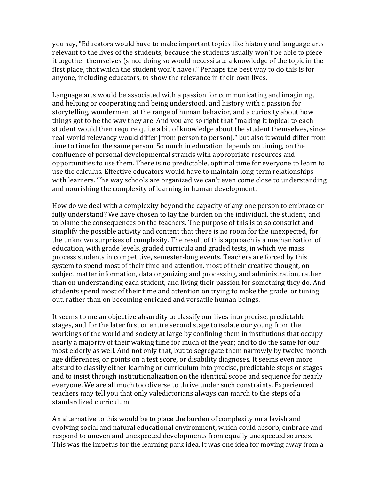you say, "Educators would have to make important topics like history and language arts relevant to the lives of the students, because the students usually won't be able to piece it together themselves (since doing so would necessitate a knowledge of the topic in the first place, that which the student won't have)." Perhaps the best way to do this is for anyone, including educators, to show the relevance in their own lives.

Language arts would be associated with a passion for communicating and imagining, and helping or cooperating and being understood, and history with a passion for storytelling, wonderment at the range of human behavior, and a curiosity about how things got to be the way they are. And you are so right that "making it topical to each student would then require quite a bit of knowledge about the student themselves, since real-world relevancy would differ [from person to person]," but also it would differ from time to time for the same person. So much in education depends on timing, on the confluence of personal developmental strands with appropriate resources and opportunities to use them. There is no predictable, optimal time for everyone to learn to use the calculus. Effective educators would have to maintain long-term relationships with learners. The way schools are organized we can't even come close to understanding and nourishing the complexity of learning in human development.

How do we deal with a complexity beyond the capacity of any one person to embrace or fully understand? We have chosen to lay the burden on the individual, the student, and to blame the consequences on the teachers. The purpose of this is to so constrict and simplify the possible activity and content that there is no room for the unexpected, for the unknown surprises of complexity. The result of this approach is a mechanization of education, with grade levels, graded curricula and graded tests, in which we mass process students in competitive, semester-long events. Teachers are forced by this system to spend most of their time and attention, most of their creative thought, on subject matter information, data organizing and processing, and administration, rather than on understanding each student, and living their passion for something they do. And students spend most of their time and attention on trying to make the grade, or tuning out, rather than on becoming enriched and versatile human beings.

It seems to me an objective absurdity to classify our lives into precise, predictable stages, and for the later first or entire second stage to isolate our young from the workings of the world and society at large by confining them in institutions that occupy nearly a majority of their waking time for much of the year; and to do the same for our most elderly as well. And not only that, but to segregate them narrowly by twelve-month age differences, or points on a test score, or disability diagnoses. It seems even more absurd to classify either learning or curriculum into precise, predictable steps or stages and to insist through institutionalization on the identical scope and sequence for nearly everyone. We are all much too diverse to thrive under such constraints. Experienced teachers may tell you that only valedictorians always can march to the steps of a standardized curriculum.

An alternative to this would be to place the burden of complexity on a lavish and evolving social and natural educational environment, which could absorb, embrace and respond to uneven and unexpected developments from equally unexpected sources. This was the impetus for the learning park idea. It was one idea for moving away from a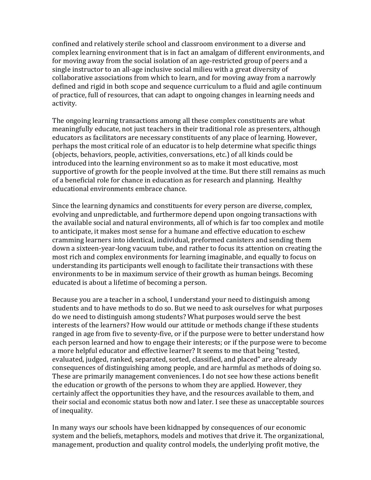confined and relatively sterile school and classroom environment to a diverse and complex learning environment that is in fact an amalgam of different environments, and for moving away from the social isolation of an age-restricted group of peers and a single instructor to an all-age inclusive social milieu with a great diversity of collaborative associations from which to learn, and for moving away from a narrowly defined and rigid in both scope and sequence curriculum to a fluid and agile continuum of practice, full of resources, that can adapt to ongoing changes in learning needs and activity.

The ongoing learning transactions among all these complex constituents are what meaningfully educate, not just teachers in their traditional role as presenters, although educators as facilitators are necessary constituents of any place of learning. However, perhaps the most critical role of an educator is to help determine what specific things (objects, behaviors, people, activities, conversations, etc.) of all kinds could be introduced into the learning environment so as to make it most educative. most supportive of growth for the people involved at the time. But there still remains as much of a beneficial role for chance in education as for research and planning. Healthy educational environments embrace chance.

Since the learning dynamics and constituents for every person are diverse, complex, evolving and unpredictable, and furthermore depend upon ongoing transactions with the available social and natural environments, all of which is far too complex and motile to anticipate, it makes most sense for a humane and effective education to eschew cramming learners into identical, individual, preformed canisters and sending them down a sixteen-year-long vacuum tube, and rather to focus its attention on creating the most rich and complex environments for learning imaginable, and equally to focus on understanding its participants well enough to facilitate their transactions with these environments to be in maximum service of their growth as human beings. Becoming educated is about a lifetime of becoming a person.

Because you are a teacher in a school, I understand your need to distinguish among students and to have methods to do so. But we need to ask ourselves for what purposes do we need to distinguish among students? What purposes would serve the best interests of the learners? How would our attitude or methods change if these students ranged in age from five to seventy-five, or if the purpose were to better understand how each person learned and how to engage their interests; or if the purpose were to become a more helpful educator and effective learner? It seems to me that being "tested, evaluated, judged, ranked, separated, sorted, classified, and placed" are already consequences of distinguishing among people, and are harmful as methods of doing so. These are primarily management conveniences. I do not see how these actions benefit the education or growth of the persons to whom they are applied. However, they certainly affect the opportunities they have, and the resources available to them, and their social and economic status both now and later. I see these as unacceptable sources of inequality.

In many ways our schools have been kidnapped by consequences of our economic system and the beliefs, metaphors, models and motives that drive it. The organizational, management, production and quality control models, the underlying profit motive, the